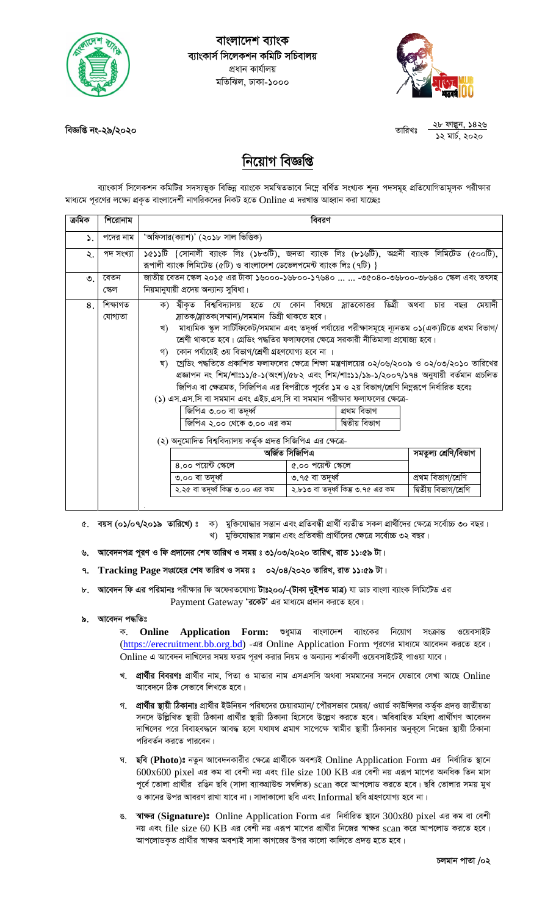

বাংলাদেশ ব্যাংক ব্যাংকার্স সিলেকশন কমিটি সচিবালয় প্ৰধান কাৰ্যালয় মতিঝিল, ঢাকা-১০০০



২৮ ফাল্পুন, ১৪২৬ তাবিখঃ ১২ মাৰ্চ, ২০২০

বিজ্ঞপ্তি নং-২৯/২০২০

## নিয়োগ বিজ্ঞপ্তি

ব্যাংকার্স সিলেকশন কমিটির সদস্যভূক্ত বিভিন্ন ব্যাংকে সমন্বিতভাবে নিম্নে বর্ণিত সংখ্যক শূন্য পদসমূহ প্রতিযোগিতামূলক পরীক্ষার মাধ্যমে পূরণের লক্ষ্যে প্রকৃত বাংলাদেশী নাগরিকদের নিকট হতে Online এ দরখাস্ত আহ্বান করা যাচ্ছেঃ

| ক্ৰমিক    | শিরোনাম             | বিবরণ                                                                                                                                                                                                                                                                                                                                                                                                                                                                                                                                                                                                                                                                                                                                                                                                                                                                                                                                                                                       |
|-----------|---------------------|---------------------------------------------------------------------------------------------------------------------------------------------------------------------------------------------------------------------------------------------------------------------------------------------------------------------------------------------------------------------------------------------------------------------------------------------------------------------------------------------------------------------------------------------------------------------------------------------------------------------------------------------------------------------------------------------------------------------------------------------------------------------------------------------------------------------------------------------------------------------------------------------------------------------------------------------------------------------------------------------|
| ۵.        | পদের নাম            | 'অফিসার(ক্যাশ)' (২০১৮ সাল ভিত্তিক)                                                                                                                                                                                                                                                                                                                                                                                                                                                                                                                                                                                                                                                                                                                                                                                                                                                                                                                                                          |
| ২.        | পদ সংখ্যা           | ১৫১১টি {সোনালী ব্যাংক লিঃ (১৮৩টি), জনতা ব্যাংক লিঃ (৮১৬টি), অগ্ৰনী ব্যাংক লিমিটেড (৫০০টি),<br>রূপালী ব্যাংক লিমিটেড (৫টি) ও বাংলাদেশ ডেভেলপমেন্ট ব্যাংক লিঃ (৭টি) }                                                                                                                                                                                                                                                                                                                                                                                                                                                                                                                                                                                                                                                                                                                                                                                                                         |
| $\circ$ . | বেতন<br>স্কেল       | জাতীয় বেতন স্কেল ২০১৫ এর টাকা ১৬০০০-১৬৮০০-১৭৬৪০   -৩৫০৪০-৩৬৮০০-৩৮৬৪০ স্কেল এবং তৎসহ<br>নিয়মানুযায়ী প্রদেয় অন্যান্য সুবিধা।                                                                                                                                                                                                                                                                                                                                                                                                                                                                                                                                                                                                                                                                                                                                                                                                                                                              |
| 8         | শিক্ষাগত<br>যোগ্যতা | ক) স্বীকৃত বিশ্ববিদ্যালয় হতে যে কোন বিষয়ে স্লাতকোত্তর ডিগ্রী অথবা<br>মেয়াদী<br>চার<br>বছর<br>স্লাতক/স্লাতক(সম্মান)/সমমান ডিগ্ৰী থাকতে হবে।<br>খ) মাধ্যমিক স্কুল সার্টিফিকেট/সমমান এবং তদূর্ধ্ব পর্যায়ের পরীক্ষাসমূহে ন্যূনতম ০১(এক)টিতে প্রথম বিভাগ/<br>শ্রেণী থাকতে হবে। গ্রেডিং পদ্ধতির ফলাফলের ক্ষেত্রে সরকারী নীতিমালা প্রযোজ্য হবে।<br>গ) কোন পর্যায়েই ৩য় বিভাগ/শ্রেণী গ্রহণযোগ্য হবে না ।<br>ঘ)   গ্রেডিং পদ্ধতিতে প্রকাশিত ফলাফলের ক্ষেত্রে শিক্ষা মন্ত্রণালয়ের ০২/০৬/২০০৯ ও ০২/০৩/২০১০ তারিখের<br>প্ৰজ্ঞাপন নং শিম/শাঃ১১/৫-১(অংশ)/৫৮২ এবং শিম/শাঃ১১/১৯-১/২০০৭/১৭৪ অনুযায়ী বৰ্তমান প্ৰচলিত<br>জিপিএ বা ক্ষেত্রমত, সিজিপিএ এর বিপরীতে পূর্বের ১ম ও ২য় বিভাগ/শ্রেণি নিম্নরূপে নির্ধারিত হবেঃ<br>(১) এস.এস.সি বা সমমান এবং এইচ.এস.সি বা সমমান পরীক্ষার ফলাফলের ক্ষেত্রে-<br>জিপিএ ৩.০০ বা তদূৰ্ধ্ব<br>প্ৰথম বিভাগ<br>দ্বিতীয় বিভাগ<br>জিপিএ ২.০০ থেকে ৩.০০ এর কম<br>(২) অনুমোদিত বিশ্ববিদ্যালয় কর্তৃক প্রদত্ত সিজিপিএ এর ক্ষেত্রে-<br>অৰ্জিত সিজিপিএ<br>সমতুল্য শ্ৰেণি/বিভাগ |
|           |                     | ৫.০০ পয়েন্ট ক্ষেলে<br>8.00 পয়েন্ট স্কেলে                                                                                                                                                                                                                                                                                                                                                                                                                                                                                                                                                                                                                                                                                                                                                                                                                                                                                                                                                  |
|           |                     | প্ৰথম বিভাগ/শ্ৰেণি<br>৩.০০ বা তদূৰ্ধ্ব<br>৩.৭৫ বা তদর্ধ্ব                                                                                                                                                                                                                                                                                                                                                                                                                                                                                                                                                                                                                                                                                                                                                                                                                                                                                                                                   |
|           |                     | ২.২৫ বা তদূৰ্ধ্ব কিন্তু ৩.০০ এর কম<br>২.৮১৩ বা তদূৰ্ধ্ব কিন্তু ৩.৭৫ এর কম<br>দ্বিতীয় বিভাগ/শ্ৰেণি                                                                                                                                                                                                                                                                                                                                                                                                                                                                                                                                                                                                                                                                                                                                                                                                                                                                                          |

- ৫. বয়স (০১/০৭/২০১৯ তারিখে)ঃ ক) মুক্তিযোদ্ধার সন্তান এবং প্রতিবন্ধী প্রার্থী ব্যতীত সকল প্রার্থীদের ক্ষেত্রে সর্বোচ্চ ৩০ বছর। খ) মুক্তিযোদ্ধার সন্তান এবং প্রতিবন্ধী প্রার্থীদের ক্ষেত্রে সর্বোচ্চ ৩২ বছর।
- ৬. আবেদনপত্র পূরণ ও ফি প্রদানের শেষ তারিখ ও সময় ঃ ৩১/০৩/২০২০ তারিখ, রাত ১১:৫৯ টা।
- ৭. Tracking Page সংগ্রহের শেষ তারিখ ও সময় ঃ ০২/০৪/২০২০ তারিখ, রাত ১১:৫৯ টা।
- ৮. আবেদন ফি এর পরিমানঃ পরীক্ষার ফি অফেরতযোগ্য টাঃ২০০/-(টাকা দুইশত মাত্র) যা ডাচ বাংলা ব্যাংক লিমিটেড এর Payment Gateway 'রকেট' এর মাধ্যমে প্রদান করতে হবে।

## ৯. আবেদন পদ্ধতিঃ

ক. Online Application Form: ওধুমাত্র বাংলাদেশ ব্যাংকের নিয়োগ সংক্রান্ত ওয়েবসাইট (https://erecruitment.bb.org.bd) -এর Online Application Form পূরণের মাধ্যমে আবেদন করতে হবে। Online এ আবেদন দাখিলের সময় ফরম পূরণ করার নিয়ম ও অন্যান্য শর্তাবলী ওয়েবসাইটেই পাওয়া যাবে।

- খ. প্রার্থীর বিবরণঃ প্রার্থীর নাম, পিতা ও মাতার নাম এসএসসি অথবা সমমানের সনদে যেভাবে লেখা আছে Online আবেদনে ঠিক সেভাবে লিখতে হবে।
- গ, প্রার্থীর স্থায়ী ঠিকানাঃ প্রার্থীর ইউনিয়ন পরিষদের চেয়ারম্যান/ পৌরসভার মেয়র/ ওয়ার্ড কাউন্সিলর কর্তক প্রদত্ত জাতীয়তা সনদে উল্লিখিত স্থায়ী ঠিকানা প্রার্থীর স্থায়ী ঠিকানা হিসেবে উল্লেখ করতে হবে। অবিবাহিত মহিলা প্রার্থীগণ আবেদন দাখিলের পরে বিবাহবদ্ধনে আবদ্ধ হলে যথাযথ প্রমাণ সাপেক্ষে স্বামীর স্থায়ী ঠিকানার অনুকূলে নিজের স্থায়ী ঠিকানা পরিবর্তন করতে পারবেন।
- ঘ. ছবি (Photo)ঃ নতুন আবেদনকারীর ক্ষেত্রে প্রার্থীকে অবশ্যই Online Application Form এর নির্ধারিত স্থানে  $600x600$  pixel এর কম বা বেশী নয় এবং file size  $100$  KB এর বেশী নয় এরূপ মাপের অনধিক তিন মাস পূর্বে তোলা প্রার্থীর রঙিন ছবি (সাদা ব্যাকগ্রাউন্ড সম্বলিত) scan করে আপলোড করতে হবে। ছবি তোলার সময় মুখ ও কানের উপর আবরণ রাখা যাবে না। সাদাকালো ছবি এবং Informal ছবি গ্রহণযোগ্য হবে না।
- ঙ. স্বাক্ষর (Signature)ঃ Online Application Form এর নির্ধারিত স্থানে 300x80 pixel এর কম বা বেশী নয় এবং file size 60 KB এর বেশী নয় এরূপ মাপের প্রার্থীর নিজের স্বাক্ষর scan করে আপলোড করতে হবে। আপলোডকৃত প্রার্থীর স্বাক্ষর অবশ্যই সাদা কাগজের উপর কালো কালিতে প্রদত্ত হবে ।